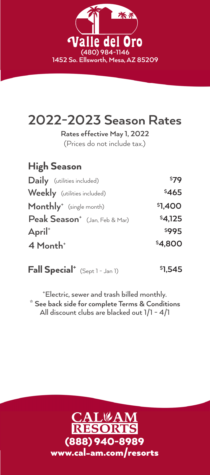

# **2022-2023 Season Rates**

**Rates effective May 1, 2022**

(Prices do not include tax.)

| <b>High Season</b>                        |         |
|-------------------------------------------|---------|
| Daily (utilities included)                | \$79    |
| Weekly (utilities included)               | \$465   |
| Monthly <sup>+</sup> (single month)       | \$1,400 |
| Peak Season <sup>+</sup> (Jan, Feb & Mar) | \$4,125 |
| April†                                    | \$995   |
| 4 Month <sup>+</sup>                      | \$4,800 |
|                                           |         |

**Fall Special** \* (Sept 1 - Jan 1) **11,545** 

**\* See back side for complete Terms & Conditions +** Electric, sewer and trash billed monthly. All discount clubs are blacked out 1/1 - 4/1